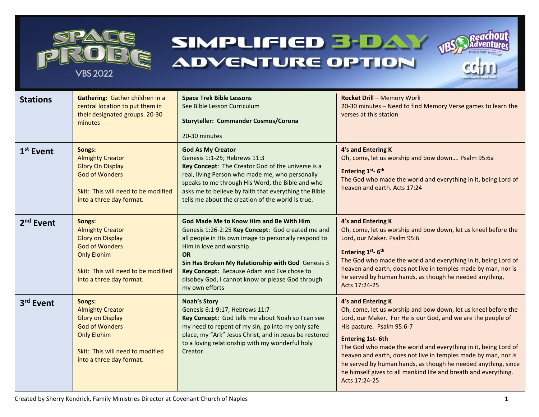

# SIMPLIFIED 3-DAY **ADVENTURE OPTION**





| <b>Stations</b>       | Gathering: Gather children in a<br>central location to put them in<br>their designated groups. 20-30<br>minutes                                                                | <b>Space Trek Bible Lessons</b><br>See Bible Lesson Curriculum<br><b>Storyteller: Commander Cosmos/Corona</b><br>20-30 minutes                                                                                                                                                                                                                                                | <b>Rocket Drill - Memory Work</b><br>20-30 minutes - Need to find Memory Verse games to learn the<br>verses at this station                                                                                                                                                                                                                                                                                                                                                                           |  |
|-----------------------|--------------------------------------------------------------------------------------------------------------------------------------------------------------------------------|-------------------------------------------------------------------------------------------------------------------------------------------------------------------------------------------------------------------------------------------------------------------------------------------------------------------------------------------------------------------------------|-------------------------------------------------------------------------------------------------------------------------------------------------------------------------------------------------------------------------------------------------------------------------------------------------------------------------------------------------------------------------------------------------------------------------------------------------------------------------------------------------------|--|
| $1st$ Event           | Songs:<br><b>Almighty Creator</b><br><b>Glory On Display</b><br><b>God of Wonders</b><br>Skit: This will need to be modified<br>into a three day format.                       | <b>God As My Creator</b><br>Genesis 1:1-25; Hebrews 11:3<br>Key Concept: The Creator God of the universe is a<br>real, living Person who made me, who personally<br>speaks to me through His Word, the Bible and who<br>asks me to believe by faith that everything the Bible<br>tells me about the creation of the world is true.                                            | 4's and Entering K<br>Oh, come, let us worship and bow down Psalm 95:6a<br>Entering 1st-6th<br>The God who made the world and everything in it, being Lord of<br>heaven and earth. Acts 17:24                                                                                                                                                                                                                                                                                                         |  |
| 2 <sup>nd</sup> Event | Songs:<br><b>Almighty Creator</b><br><b>Glory on Display</b><br><b>God of Wonders</b><br><b>Only Elohim</b><br>Skit: This will need to be modified<br>into a three day format. | <b>God Made Me to Know Him and Be With Him</b><br>Genesis 1:26-2:25 Key Concept: God created me and<br>all people in His own image to personally respond to<br>Him in love and worship.<br><b>OR</b><br>Sin Has Broken My Relationship with God Genesis 3<br>Key Concept: Because Adam and Eve chose to<br>disobey God, I cannot know or please God through<br>my own efforts | 4's and Entering K<br>Oh, come, let us worship and bow down, let us kneel before the<br>Lord, our Maker. Psalm 95:6<br>Entering 1st- 6th<br>The God who made the world and everything in it, being Lord of<br>heaven and earth, does not live in temples made by man, nor is<br>he served by human hands, as though he needed anything,<br>Acts 17:24-25                                                                                                                                              |  |
| 3rd Event             | Songs:<br><b>Almighty Creator</b><br><b>Glory on Display</b><br><b>God of Wonders</b><br><b>Only Elohim</b><br>Skit: This will need to modified<br>into a three day format.    | <b>Noah's Story</b><br>Genesis 6:1-9:17, Hebrews 11:7<br>Key Concept: God tells me about Noah so I can see<br>my need to repent of my sin, go into my only safe<br>place, my "Ark" Jesus Christ, and in Jesus be restored<br>to a loving relationship with my wonderful holy<br>Creator.                                                                                      | 4's and Entering K<br>Oh, come, let us worship and bow down, let us kneel before the<br>Lord, our Maker. For He is our God, and we are the people of<br>His pasture. Psalm 95:6-7<br><b>Entering 1st-6th</b><br>The God who made the world and everything in it, being Lord of<br>heaven and earth, does not live in temples made by man, nor is<br>he served by human hands, as though he needed anything, since<br>he himself gives to all mankind life and breath and everything.<br>Acts 17:24-25 |  |

Created by Sherry Kendrick, Family Ministries Director at Covenant Church of Naples 1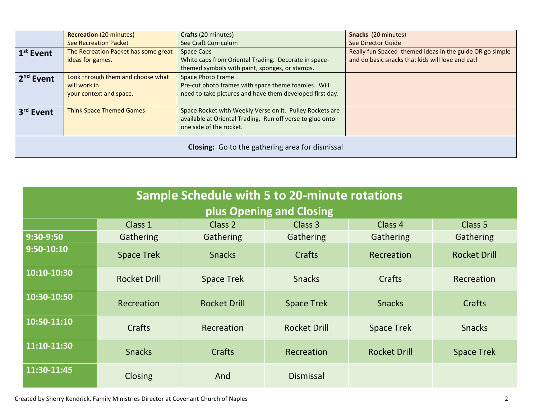|                                                        | <b>Recreation (20 minutes)</b>       | Crafts (20 minutes)                                       | Snacks (20 minutes)                                      |  |  |  |  |
|--------------------------------------------------------|--------------------------------------|-----------------------------------------------------------|----------------------------------------------------------|--|--|--|--|
|                                                        | <b>See Recreation Packet</b>         | See Craft Curriculum                                      | See Director Guide                                       |  |  |  |  |
| 1 <sup>st</sup> Event                                  | The Recreation Packet has some great | Space Caps                                                | Really fun Spaced themed ideas in the guide OR go simple |  |  |  |  |
|                                                        | ideas for games.                     | White caps from Oriental Trading. Decorate in space-      | and do basic snacks that kids will love and eat!         |  |  |  |  |
|                                                        |                                      | themed symbols with paint, sponges, or stamps.            |                                                          |  |  |  |  |
| 2 <sup>nd</sup> Event                                  | Look through them and choose what    | <b>Space Photo Frame</b>                                  |                                                          |  |  |  |  |
|                                                        | will work in                         | Pre-cut photo frames with space theme foamies. Will       |                                                          |  |  |  |  |
|                                                        | your context and space.              | need to take pictures and have them developed first day.  |                                                          |  |  |  |  |
|                                                        |                                      |                                                           |                                                          |  |  |  |  |
| 3 <sup>rd</sup> Event                                  | <b>Think Space Themed Games</b>      | Space Rocket with Weekly Verse on it. Pulley Rockets are  |                                                          |  |  |  |  |
|                                                        |                                      | available at Oriental Trading. Run off verse to glue onto |                                                          |  |  |  |  |
|                                                        |                                      | one side of the rocket.                                   |                                                          |  |  |  |  |
|                                                        |                                      |                                                           |                                                          |  |  |  |  |
| <b>Closing:</b> Go to the gathering area for dismissal |                                      |                                                           |                                                          |  |  |  |  |
|                                                        |                                      |                                                           |                                                          |  |  |  |  |

| <b>Sample Schedule with 5 to 20-minute rotations</b><br>plus Opening and Closing |                     |                     |                     |                     |                     |  |  |  |
|----------------------------------------------------------------------------------|---------------------|---------------------|---------------------|---------------------|---------------------|--|--|--|
|                                                                                  | Class 1             | Class 2             | Class 3             | Class 4             | <b>Class 5</b>      |  |  |  |
| 9:30-9:50                                                                        | Gathering           | Gathering           | Gathering           | Gathering           | Gathering           |  |  |  |
| 9:50-10:10                                                                       | <b>Space Trek</b>   | <b>Snacks</b>       | Crafts              | Recreation          | <b>Rocket Drill</b> |  |  |  |
| 10:10-10:30                                                                      | <b>Rocket Drill</b> | <b>Space Trek</b>   | <b>Snacks</b>       | Crafts              | Recreation          |  |  |  |
| 10:30-10:50                                                                      | Recreation          | <b>Rocket Drill</b> | <b>Space Trek</b>   | <b>Snacks</b>       | Crafts              |  |  |  |
| 10:50-11:10                                                                      | Crafts              | Recreation          | <b>Rocket Drill</b> | <b>Space Trek</b>   | <b>Snacks</b>       |  |  |  |
| 11:10-11:30                                                                      | <b>Snacks</b>       | Crafts              | Recreation          | <b>Rocket Drill</b> | <b>Space Trek</b>   |  |  |  |
| 11:30-11:45                                                                      | <b>Closing</b>      | And                 | <b>Dismissal</b>    |                     |                     |  |  |  |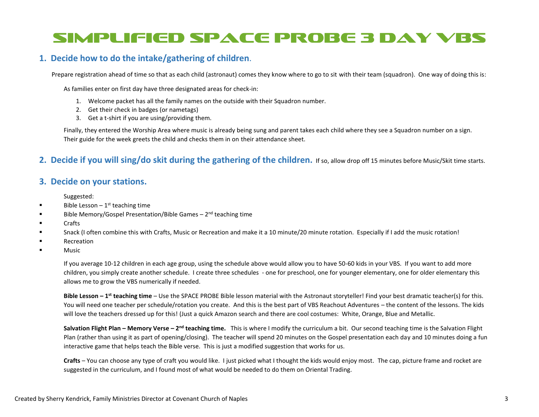# SIMPLIFIED SPACE PROBE 3 DAY VBS

## **1. Decide how to do the intake/gathering of children**.

Prepare registration ahead of time so that as each child (astronaut) comes they know where to go to sit with their team (squadron). One way of doing this is:

As families enter on first day have three designated areas for check-in:

- 1. Welcome packet has all the family names on the outside with their Squadron number.
- 2. Get their check in badges (or nametags)
- 3. Get a t-shirt if you are using/providing them.

Finally, they entered the Worship Area where music is already being sung and parent takes each child where they see a Squadron number on a sign. Their guide for the week greets the child and checks them in on their attendance sheet.

#### **2. Decide if you will sing/do skit during the gathering of the children.** If so, allow drop off 15 minutes before Music/Skit time starts.

### **3. Decide on your stations.**

Suggested:

- **■** Bible Lesson  $-1$ <sup>st</sup> teaching time
- Bible Memory/Gospel Presentation/Bible Games 2<sup>nd</sup> teaching time
- **Crafts**
- Snack (I often combine this with Crafts, Music or Recreation and make it a 10 minute/20 minute rotation. Especially if I add the music rotation!
- Recreation
- **Music**

If you average 10-12 children in each age group, using the schedule above would allow you to have 50-60 kids in your VBS. If you want to add more children, you simply create another schedule. I create three schedules - one for preschool, one for younger elementary, one for older elementary this allows me to grow the VBS numerically if needed.

**Bible Lesson – 1 st teaching time** – Use the SPACE PROBE Bible lesson material with the Astronaut storyteller! Find your best dramatic teacher(s) for this. You will need one teacher per schedule/rotation you create. And this is the best part of VBS Reachout Adventures – the content of the lessons. The kids will love the teachers dressed up for this! (Just a quick Amazon search and there are cool costumes: White, Orange, Blue and Metallic.

**Salvation Flight Plan – Memory Verse – 2<sup>nd</sup> teaching time.** This is where I modify the curriculum a bit. Our second teaching time is the Salvation Flight Plan (rather than using it as part of opening/closing). The teacher will spend 20 minutes on the Gospel presentation each day and 10 minutes doing a fun interactive game that helps teach the Bible verse. This is just a modified suggestion that works for us.

**Crafts** – You can choose any type of craft you would like. I just picked what I thought the kids would enjoy most. The cap, picture frame and rocket are suggested in the curriculum, and I found most of what would be needed to do them on Oriental Trading.